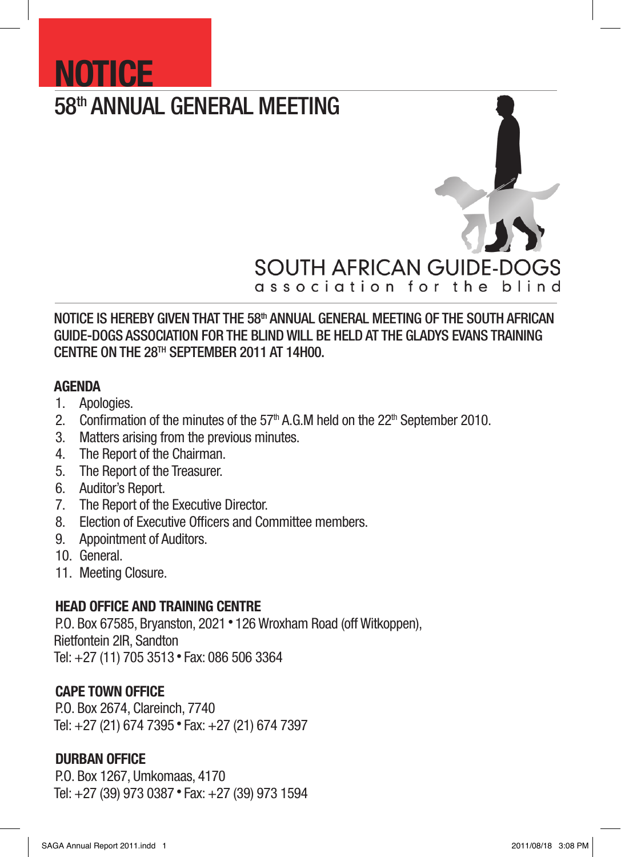# 58th ANNUAL GENERAL MEETING



# NOTICE IS HEREBY GIVEN THAT THE 58<sup>th</sup> ANNUAL GENERAL MEETING OF THE SOUTH AFRICAN GUIDE-DOGS ASSOCIATION FOR THE BLIND WILL BE HELD AT THE GLADYS EVANS TRAINING CENTRE ON THE 28TH September 2011 AT 14H00.

## AGENDA

1. Apologies.

**NOTICE** 

- 2. Confirmation of the minutes of the  $57<sup>th</sup>$  A.G.M held on the  $22<sup>th</sup>$  September 2010.
- 3. Matters arising from the previous minutes.
- 4. The Report of the Chairman.
- 5. The Report of the Treasurer.
- 6. Auditor's Report.
- 7. The Report of the Executive Director.
- 8. Election of Executive Officers and Committee members.
- 9. Appointment of Auditors.
- 10. General.
- 11. Meeting Closure.

# HEAD OFFICE AND TRAINING CENTRE

P.O. Box 67585, Bryanston, 2021 • 126 Wroxham Road (off Witkoppen), Rietfontein 2IR, Sandton Tel: +27 (11) 705 3513 • Fax: 086 506 3364

# CAPE TOWN OFFICE

P.O. Box 2674, Clareinch, 7740 Tel: +27 (21) 674 7395 • Fax: +27 (21) 674 7397

# DURBAN OFFICE

P.O. Box 1267, Umkomaas, 4170 Tel: +27 (39) 973 0387 • Fax: +27 (39) 973 1594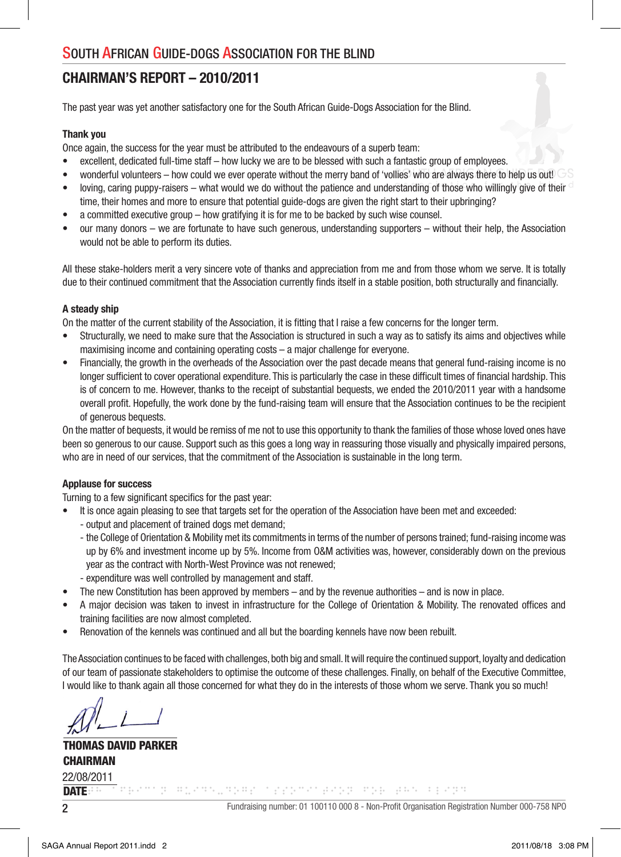# CHAIRMAN'S REPORT – 2010/2011

The past year was yet another satisfactory one for the South African Guide-Dogs Association for the Blind.

#### Thank you

Once again, the success for the year must be attributed to the endeavours of a superb team:

- excellent, dedicated full-time staff how lucky we are to be blessed with such a fantastic group of employees.
- wonderful volunteers how could we ever operate without the merry band of 'vollies' who are always there to help us out!
- loving, caring puppy-raisers what would we do without the patience and understanding of those who willingly give of their time, their homes and more to ensure that potential guide-dogs are given the right start to their upbringing?
- a committed executive group how gratifying it is for me to be backed by such wise counsel.
- our many donors we are fortunate to have such generous, understanding supporters without their help, the Association would not be able to perform its duties.

All these stake-holders merit a very sincere vote of thanks and appreciation from me and from those whom we serve. It is totally due to their continued commitment that the Association currently finds itself in a stable position, both structurally and financially.

#### A steady ship

On the matter of the current stability of the Association, it is fitting that I raise a few concerns for the longer term.

- Structurally, we need to make sure that the Association is structured in such a way as to satisfy its aims and objectives while maximising income and containing operating costs – a major challenge for everyone.
- Financially, the growth in the overheads of the Association over the past decade means that general fund-raising income is no longer sufficient to cover operational expenditure. This is particularly the case in these difficult times of financial hardship. This is of concern to me. However, thanks to the receipt of substantial bequests, we ended the 2010/2011 year with a handsome overall profit. Hopefully, the work done by the fund-raising team will ensure that the Association continues to be the recipient of generous bequests.

On the matter of bequests, it would be remiss of me not to use this opportunity to thank the families of those whose loved ones have been so generous to our cause. Support such as this goes a long way in reassuring those visually and physically impaired persons, who are in need of our services, that the commitment of the Association is sustainable in the long term.

#### Applause for success

Turning to a few significant specifics for the past year:

- It is once again pleasing to see that targets set for the operation of the Association have been met and exceeded:
	- output and placement of trained dogs met demand;
	- the College of Orientation & Mobility met its commitments in terms of the number of persons trained; fund-raising income was up by 6% and investment income up by 5%. Income from O&M activities was, however, considerably down on the previous year as the contract with North-West Province was not renewed;
	- expenditure was well controlled by management and staff.
- The new Constitution has been approved by members and by the revenue authorities and is now in place.
- A major decision was taken to invest in infrastructure for the College of Orientation & Mobility. The renovated offices and training facilities are now almost completed.
- Renovation of the kennels was continued and all but the boarding kennels have now been rebuilt.

The Association continues to be faced with challenges, both big and small. It will require the continued support, loyalty and dedication of our team of passionate stakeholders to optimise the outcome of these challenges. Finally, on behalf of the Executive Committee, I would like to thank again all those concerned for what they do in the interests of those whom we serve. Thank you so much!

THOMAS DAVID PARKER **CHAIRMAN** DATE: 22/08/2011

<u>Participal response program provident and the program of the second program and the second program of the second</u>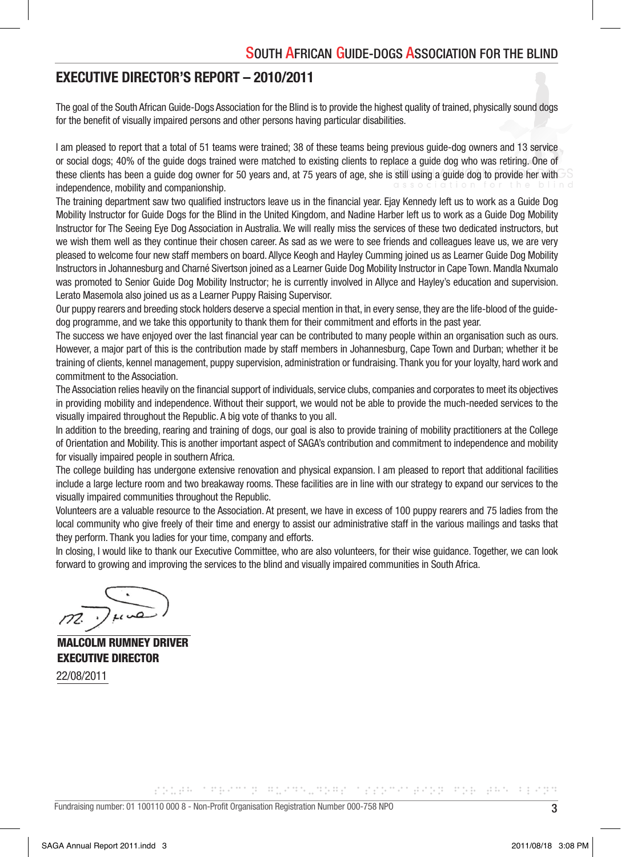## EXECUTIVE DIRECTOR'S REPORT – 2010/2011

The goal of the South African Guide-Dogs Association for the Blind is to provide the highest quality of trained, physically sound dogs for the benefit of visually impaired persons and other persons having particular disabilities.

I am pleased to report that a total of 51 teams were trained; 38 of these teams being previous guide-dog owners and 13 service or social dogs; 40% of the guide dogs trained were matched to existing clients to replace a guide dog who was retiring. One of these clients has been a quide dog owner for 50 years and, at 75 years of age, she is still using a quide dog to provide her with independence, mobility and companionship.

The training department saw two qualified instructors leave us in the financial year. Ejay Kennedy left us to work as a Guide Dog Mobility Instructor for Guide Dogs for the Blind in the United Kingdom, and Nadine Harber left us to work as a Guide Dog Mobility Instructor for The Seeing Eye Dog Association in Australia. We will really miss the services of these two dedicated instructors, but we wish them well as they continue their chosen career. As sad as we were to see friends and colleagues leave us, we are very pleased to welcome four new staff members on board. Allyce Keogh and Hayley Cumming joined us as Learner Guide Dog Mobility Instructors in Johannesburg and Charné Sivertson joined as a Learner Guide Dog Mobility Instructor in Cape Town. Mandla Nxumalo was promoted to Senior Guide Dog Mobility Instructor; he is currently involved in Allyce and Hayley's education and supervision. Lerato Masemola also joined us as a Learner Puppy Raising Supervisor.

Our puppy rearers and breeding stock holders deserve a special mention in that, in every sense, they are the life-blood of the guidedog programme, and we take this opportunity to thank them for their commitment and efforts in the past year.

The success we have enjoyed over the last financial year can be contributed to many people within an organisation such as ours. However, a major part of this is the contribution made by staff members in Johannesburg, Cape Town and Durban; whether it be training of clients, kennel management, puppy supervision, administration or fundraising. Thank you for your loyalty, hard work and commitment to the Association.

The Association relies heavily on the financial support of individuals, service clubs, companies and corporates to meet its objectives in providing mobility and independence. Without their support, we would not be able to provide the much-needed services to the visually impaired throughout the Republic. A big vote of thanks to you all.

In addition to the breeding, rearing and training of dogs, our goal is also to provide training of mobility practitioners at the College of Orientation and Mobility. This is another important aspect of SAGA's contribution and commitment to independence and mobility for visually impaired people in southern Africa.

The college building has undergone extensive renovation and physical expansion. I am pleased to report that additional facilities include a large lecture room and two breakaway rooms. These facilities are in line with our strategy to expand our services to the visually impaired communities throughout the Republic.

Volunteers are a valuable resource to the Association. At present, we have in excess of 100 puppy rearers and 75 ladies from the local community who give freely of their time and energy to assist our administrative staff in the various mailings and tasks that they perform. Thank you ladies for your time, company and efforts.

In closing, I would like to thank our Executive Committee, who are also volunteers, for their wise guidance. Together, we can look forward to growing and improving the services to the blind and visually impaired communities in South Africa.

MALCOLM RUMNEY DRIVER EXECUTIVE DIRECTOR

22/08/2011

<u> POLEN (1990) DE BLOCKLOPE (1990) PRODUCER</u>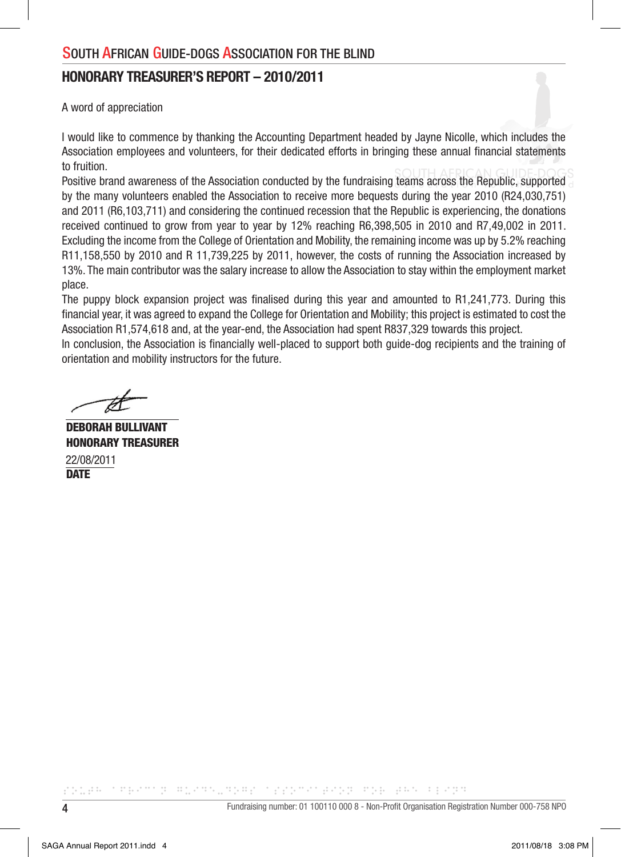## HONORARY TREASURER'S REPORT – 2010/2011

A word of appreciation

I would like to commence by thanking the Accounting Department headed by Jayne Nicolle, which includes the Association employees and volunteers, for their dedicated efforts in bringing these annual financial statements to fruition.

Positive brand awareness of the Association conducted by the fundraising teams across the Republic, supported by the many volunteers enabled the Association to receive more bequests during the year 2010 (R24,030,751) and 2011 (R6,103,711) and considering the continued recession that the Republic is experiencing, the donations received continued to grow from year to year by 12% reaching R6,398,505 in 2010 and R7,49,002 in 2011. Excluding the income from the College of Orientation and Mobility, the remaining income was up by 5.2% reaching R11,158,550 by 2010 and R 11,739,225 by 2011, however, the costs of running the Association increased by 13%. The main contributor was the salary increase to allow the Association to stay within the employment market place.

The puppy block expansion project was finalised during this year and amounted to R1,241,773. During this financial year, it was agreed to expand the College for Orientation and Mobility; this project is estimated to cost the Association R1,574,618 and, at the year-end, the Association had spent R837,329 towards this project.

In conclusion, the Association is financially well-placed to support both guide-dog recipients and the training of orientation and mobility instructors for the future.

DEBORAH BULLIVANT HONORARY TREASURER **DATE** 22/08/2011

<u> Time and the state of the state</u>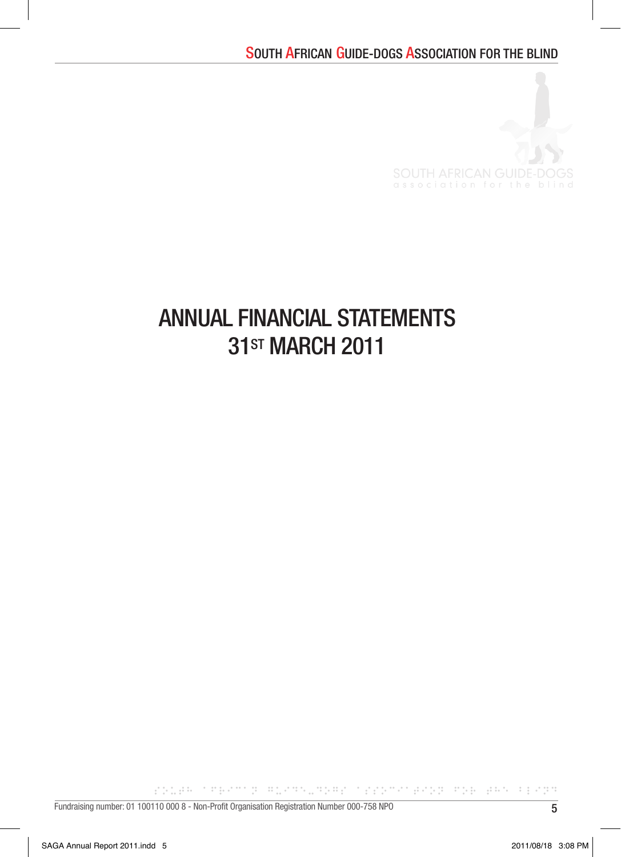

# ANNUAL FINANCIAL STATEMENTS 31<sub>ST</sub> MARCH 2011

POLEN TREATOR REARNINGER TEEDSCHEADE ROE END FEART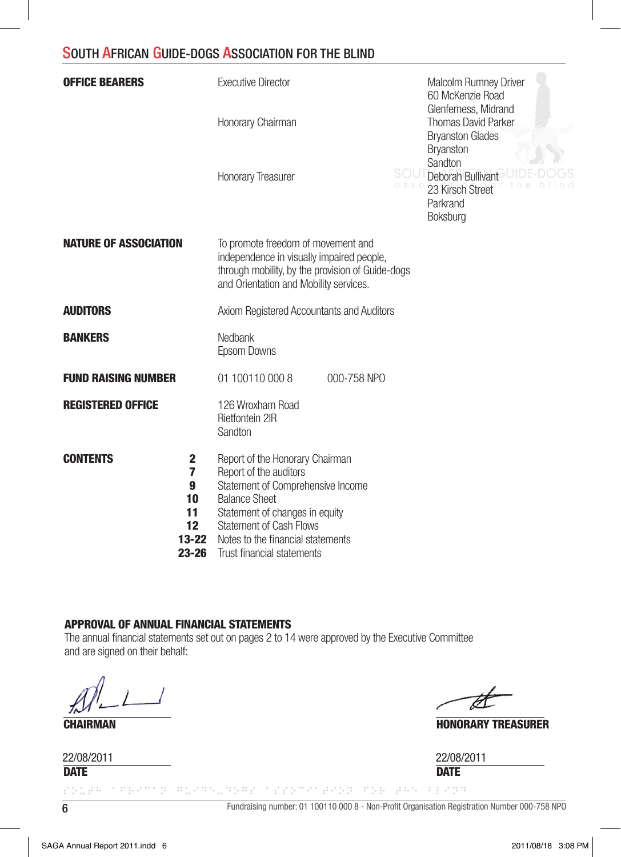| <b>OFFICE BEARERS</b>                                                               | <b>Executive Director</b>                                                                                                                                                                                                                                     | Malcolm Rumney Driver<br>60 McKenzie Road                                             |
|-------------------------------------------------------------------------------------|---------------------------------------------------------------------------------------------------------------------------------------------------------------------------------------------------------------------------------------------------------------|---------------------------------------------------------------------------------------|
|                                                                                     | Honorary Chairman                                                                                                                                                                                                                                             | Glenferness, Midrand<br><b>Thomas David Parker</b><br><b>Bryanston Glades</b>         |
|                                                                                     | <b>Honorary Treasurer</b>                                                                                                                                                                                                                                     | Bryanston<br>Sandton<br>Deborah Bullivant<br>23 Kirsch Street<br>Parkrand<br>Boksburg |
| <b>NATURE OF ASSOCIATION</b>                                                        | To promote freedom of movement and<br>independence in visually impaired people,<br>through mobility, by the provision of Guide-dogs<br>and Orientation and Mobility services.                                                                                 |                                                                                       |
| <b>AUDITORS</b>                                                                     | Axiom Registered Accountants and Auditors                                                                                                                                                                                                                     |                                                                                       |
| <b>BANKERS</b>                                                                      | Nedbank<br>Epsom Downs                                                                                                                                                                                                                                        |                                                                                       |
| <b>FUND RAISING NUMBER</b>                                                          | 01 100110 000 8<br>000-758 NPO                                                                                                                                                                                                                                |                                                                                       |
| <b>REGISTERED OFFICE</b>                                                            | 126 Wroxham Road<br>Rietfontein 2IR<br>Sandton                                                                                                                                                                                                                |                                                                                       |
| <b>CONTENTS</b><br>2<br>7<br>9<br>10<br>11<br>12 <sup>2</sup><br>13-22<br>$23 - 26$ | Report of the Honorary Chairman<br>Report of the auditors<br>Statement of Comprehensive Income<br><b>Balance Sheet</b><br>Statement of changes in equity<br><b>Statement of Cash Flows</b><br>Notes to the financial statements<br>Trust financial statements |                                                                                       |

### APPROVAL OF ANNUAL FINANCIAL STATEMENTS

The annual financial statements set out on pages 2 to 14 were approved by the Executive Committee and are signed on their behalf:

**CHAIRMAN HONORARY TREASURER** 

22/08/2011 22/08/2011

**DATE** DATE

6 Fundraising number: 01 100110 000 8 - Non-Profi t Organisation Registration Number 000-758 NPO color them a monumer too many may also con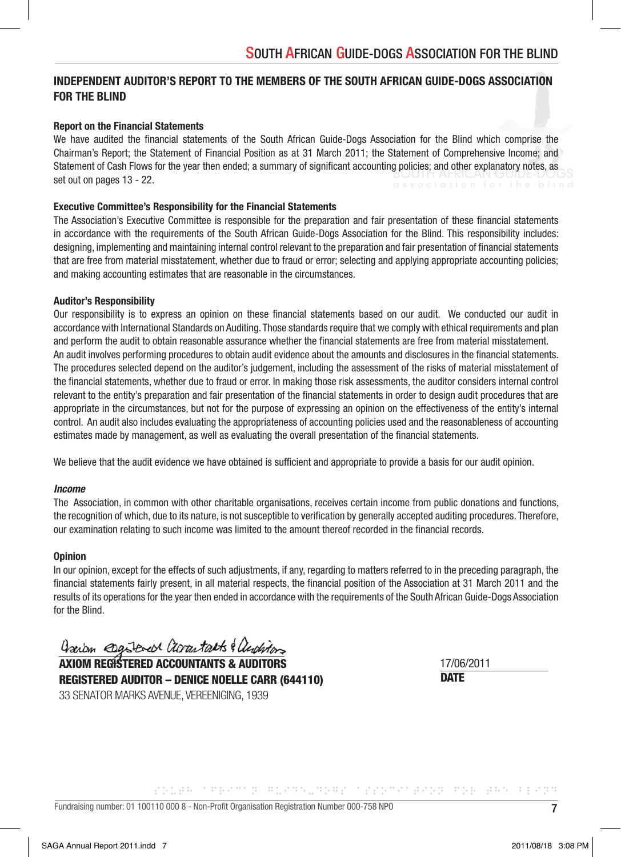## INDEPENDENT AUDITOR'S REPORT TO THE MEMBERS OF THE SOUTH AFRICAN GUIDE-DOGS ASSOCIATION FOR THE BLIND

#### Report on the Financial Statements

We have audited the financial statements of the South African Guide-Dogs Association for the Blind which comprise the Chairman's Report; the Statement of Financial Position as at 31 March 2011; the Statement of Comprehensive Income; and Statement of Cash Flows for the year then ended; a summary of significant accounting policies; and other explanatory notes, as set out on pages 13 - 22.

#### Executive Committee's Responsibility for the Financial Statements

The Association's Executive Committee is responsible for the preparation and fair presentation of these financial statements in accordance with the requirements of the South African Guide-Dogs Association for the Blind. This responsibility includes: designing, implementing and maintaining internal control relevant to the preparation and fair presentation of financial statements that are free from material misstatement, whether due to fraud or error; selecting and applying appropriate accounting policies; and making accounting estimates that are reasonable in the circumstances.

#### Auditor's Responsibility

Our responsibility is to express an opinion on these financial statements based on our audit. We conducted our audit in accordance with International Standards on Auditing. Those standards require that we comply with ethical requirements and plan and perform the audit to obtain reasonable assurance whether the financial statements are free from material misstatement. An audit involves performing procedures to obtain audit evidence about the amounts and disclosures in the financial statements. The procedures selected depend on the auditor's judgement, including the assessment of the risks of material misstatement of the financial statements, whether due to fraud or error. In making those risk assessments, the auditor considers internal control relevant to the entity's preparation and fair presentation of the financial statements in order to design audit procedures that are appropriate in the circumstances, but not for the purpose of expressing an opinion on the effectiveness of the entity's internal control. An audit also includes evaluating the appropriateness of accounting policies used and the reasonableness of accounting estimates made by management, as well as evaluating the overall presentation of the financial statements.

We believe that the audit evidence we have obtained is sufficient and appropriate to provide a basis for our audit opinion.

#### *Income*

The Association, in common with other charitable organisations, receives certain income from public donations and functions, the recognition of which, due to its nature, is not susceptible to verification by generally accepted auditing procedures. Therefore, our examination relating to such income was limited to the amount thereof recorded in the financial records.

#### **Opinion**

In our opinion, except for the effects of such adjustments, if any, regarding to matters referred to in the preceding paragraph, the financial statements fairly present, in all material respects, the financial position of the Association at 31 March 2011 and the results of its operations for the year then ended in accordance with the requirements of the South African Guide-Dogs Association for the Blind.

Jarom esgiberal accountants & auditors

AXIOM REGISTERED ACCOUNTANTS & AUDITORS REGISTERED AUDITOR – DENICE NOELLE CARR (644110) 33 SENATOR MARKS AVENUE, VEREENIGING, 1939

**DATE** 17/06/2011

<u> Proses a maria di matematika per a proses</u>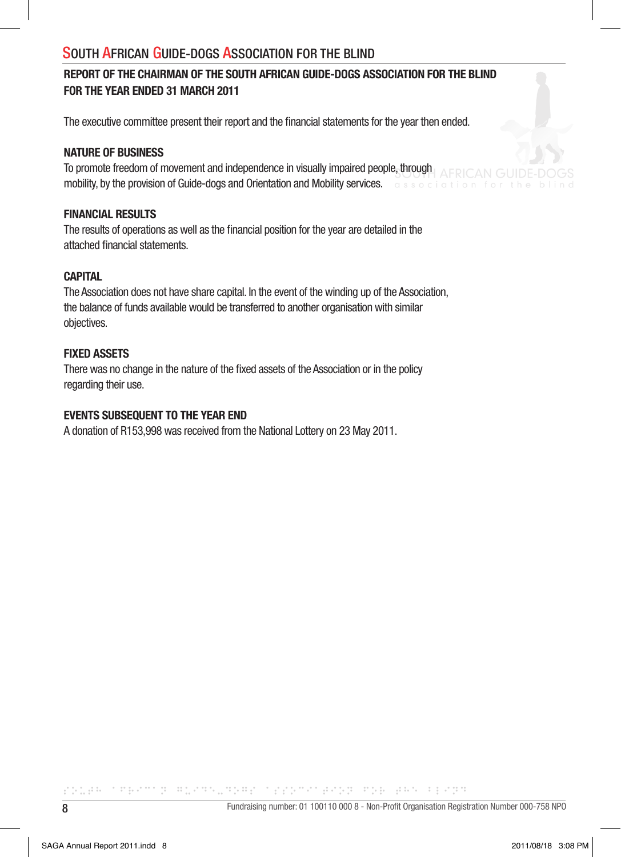## REPORT OF THE CHAIRMAN OF THE SOUTH AFRICAN GUIDE-DOGS ASSOCIATION FOR THE BLIND FOR THE YEAR ENDED 31 MARCH 2011

The executive committee present their report and the financial statements for the year then ended.

#### NATURE OF BUSINESS

To promote freedom of movement and independence in visually impaired people, through mobility, by the provision of Guide-dogs and Orientation and Mobility services. **The substitution of Suide-**

#### FINANCIAL RESULTS

The results of operations as well as the financial position for the year are detailed in the attached financial statements.

## **CAPITAL**

The Association does not have share capital. In the event of the winding up of the Association, the balance of funds available would be transferred to another organisation with similar objectives.

## FIXED ASSETS

There was no change in the nature of the fixed assets of the Association or in the policy regarding their use.

#### EVENTS SUBSEQUENT TO THE YEAR END

A donation of R153,998 was received from the National Lottery on 23 May 2011.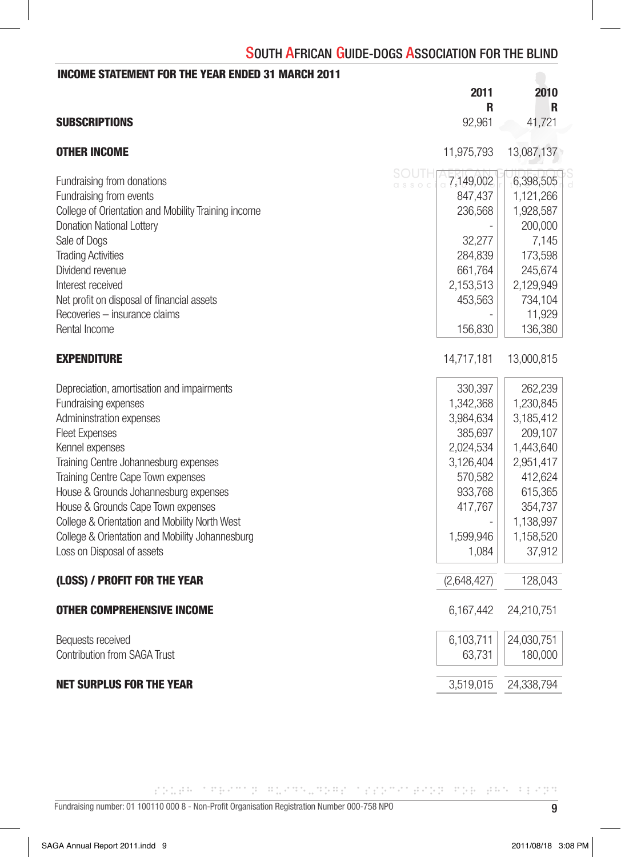| <b>INCOME STATEMENT FOR THE YEAR ENDED 31 MARCH 2011</b> |                                  |            |
|----------------------------------------------------------|----------------------------------|------------|
|                                                          | 2011<br>R                        | 2010<br>R  |
| <b>SUBSCRIPTIONS</b>                                     | 92,961                           | 41,721     |
| <b>OTHER INCOME</b>                                      | 11,975,793                       | 13,087,137 |
| Fundraising from donations                               | SOUTH<br>7,149,002<br>$C.S.S. C$ | 6,398,505  |
| Fundraising from events                                  | 847,437                          | 1,121,266  |
| College of Orientation and Mobility Training income      | 236,568                          | 1,928,587  |
| <b>Donation National Lottery</b>                         |                                  | 200,000    |
| Sale of Dogs                                             | 32,277                           | 7,145      |
| <b>Trading Activities</b>                                | 284,839                          | 173,598    |
| Dividend revenue                                         | 661,764                          | 245,674    |
| Interest received                                        | 2,153,513                        | 2,129,949  |
| Net profit on disposal of financial assets               | 453,563                          | 734,104    |
| Recoveries - insurance claims                            |                                  | 11,929     |
| Rental Income                                            | 156,830                          | 136,380    |
| <b>EXPENDITURE</b>                                       | 14,717,181                       | 13,000,815 |
| Depreciation, amortisation and impairments               | 330,397                          | 262,239    |
| Fundraising expenses                                     | 1,342,368                        | 1,230,845  |
| Admininstration expenses                                 | 3,984,634                        | 3,185,412  |
| <b>Fleet Expenses</b>                                    | 385,697                          | 209,107    |
| Kennel expenses                                          | 2,024,534                        | 1,443,640  |
| Training Centre Johannesburg expenses                    | 3,126,404                        | 2,951,417  |
| Training Centre Cape Town expenses                       | 570,582                          | 412,624    |
| House & Grounds Johannesburg expenses                    | 933,768                          | 615,365    |
| House & Grounds Cape Town expenses                       | 417,767                          | 354,737    |
| College & Orientation and Mobility North West            |                                  | 1,138,997  |
| College & Orientation and Mobility Johannesburg          | 1,599,946                        | 1,158,520  |
| Loss on Disposal of assets                               | 1,084                            | 37,912     |
| (LOSS) / PROFIT FOR THE YEAR                             | (2,648,427)                      | 128,043    |
| <b>OTHER COMPREHENSIVE INCOME</b>                        | 6,167,442                        | 24,210,751 |
| Bequests received                                        | 6,103,711                        | 24,030,751 |
| <b>Contribution from SAGA Trust</b>                      | 63,731                           | 180,000    |
| <b>NET SURPLUS FOR THE YEAR</b>                          | 3,519,015                        | 24,338,794 |

rades thermal manualment triangers and easy results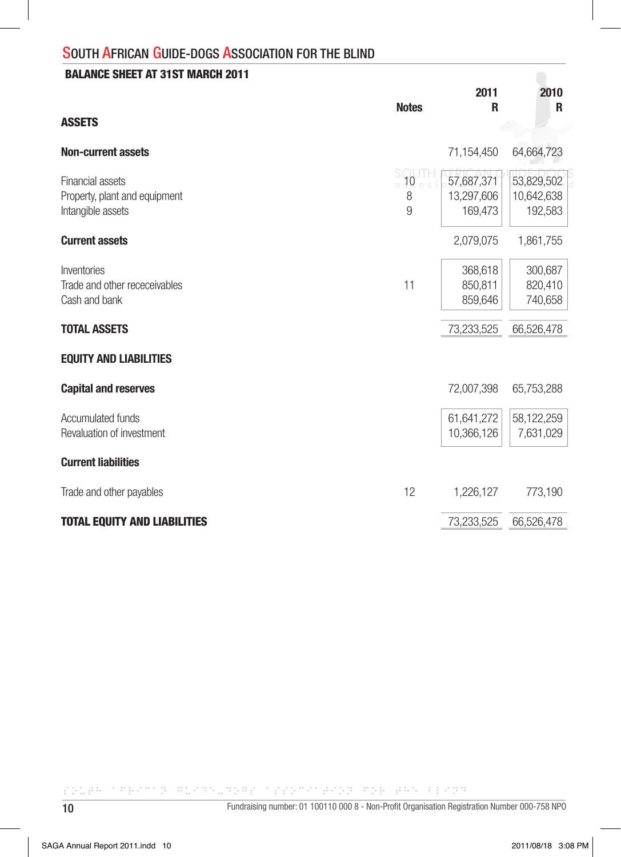## BALANCE SHEET AT 31ST MARCH 2011

|                                                   |                                              | 2011                     | 2010                     |
|---------------------------------------------------|----------------------------------------------|--------------------------|--------------------------|
| <b>ASSETS</b>                                     | <b>Notes</b>                                 | R                        | R                        |
| <b>Non-current assets</b>                         |                                              | 71,154,450               | 64,664,723               |
| Financial assets<br>Property, plant and equipment | $\frac{S}{a}$ <b>10</b> $\frac{1}{a}$ c<br>8 | 57,687,371<br>13,297,606 | 53,829,502<br>10,642,638 |
| Intangible assets<br><b>Current assets</b>        | 9                                            | 169,473<br>2,079,075     | 192,583<br>1,861,755     |
|                                                   |                                              |                          |                          |
| Inventories                                       |                                              | 368,618                  | 300,687                  |
| Trade and other receceivables<br>Cash and bank    | 11                                           | 850.811<br>859,646       | 820,410<br>740,658       |
| <b>TOTAL ASSETS</b>                               |                                              | 73,233,525               | 66,526,478               |
| <b>EQUITY AND LIABILITIES</b>                     |                                              |                          |                          |
| <b>Capital and reserves</b>                       |                                              | 72,007,398               | 65,753,288               |
| <b>Accumulated funds</b>                          |                                              | 61,641,272               | 58,122,259               |
| Revaluation of investment                         |                                              | 10,366,126               | 7,631,029                |
| <b>Current liabilities</b>                        |                                              |                          |                          |
| Trade and other payables                          | 12                                           | 1,226,127                | 773,190                  |
| <b>TOTAL EQUITY AND LIABILITIES</b>               |                                              | 73,233,525               | 66,526,478               |

CONTRACTOR SUPERINTENT CONTROL CONTRACTOR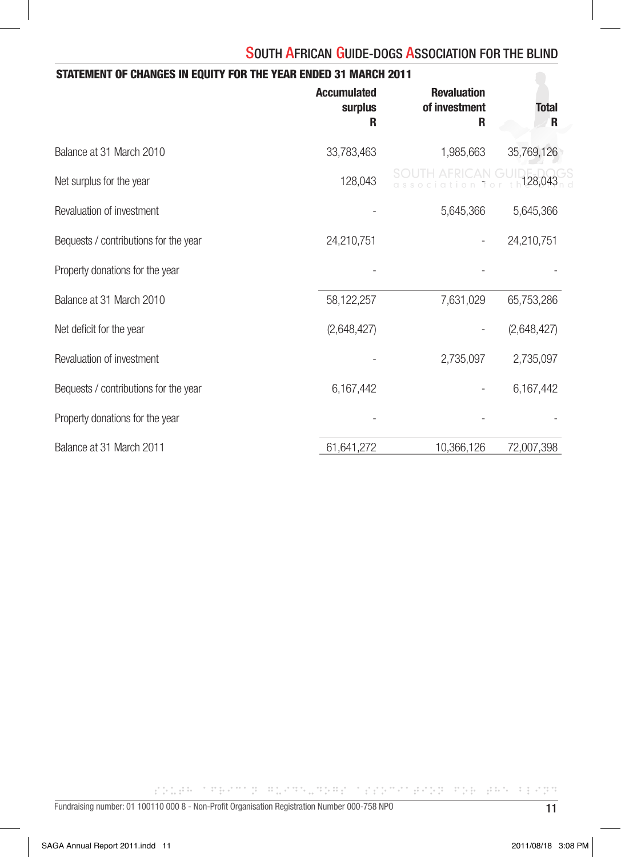| STATEMENT OF CHANGES IN EQUITY FOR THE YEAR ENDED 31 MARCH 2011 |                                    |                                          |                   |  |  |  |
|-----------------------------------------------------------------|------------------------------------|------------------------------------------|-------------------|--|--|--|
|                                                                 | <b>Accumulated</b><br>surplus<br>R | <b>Revaluation</b><br>of investment<br>R | <b>Total</b><br>R |  |  |  |
| Balance at 31 March 2010                                        | 33,783,463                         | 1,985,663                                | 35,769,126        |  |  |  |
| Net surplus for the year                                        | 128,043                            |                                          | 128,043           |  |  |  |
| Revaluation of investment                                       |                                    | 5,645,366                                | 5,645,366         |  |  |  |
| Bequests / contributions for the year                           | 24,210,751                         |                                          | 24,210,751        |  |  |  |
| Property donations for the year                                 |                                    |                                          |                   |  |  |  |
| Balance at 31 March 2010                                        | 58,122,257                         | 7,631,029                                | 65,753,286        |  |  |  |
| Net deficit for the year                                        | (2,648,427)                        |                                          | (2,648,427)       |  |  |  |
| Revaluation of investment                                       |                                    | 2,735,097                                | 2,735,097         |  |  |  |
| Bequests / contributions for the year                           | 6,167,442                          |                                          | 6,167,442         |  |  |  |
| Property donations for the year                                 |                                    |                                          |                   |  |  |  |
| Balance at 31 March 2011                                        | 61,641,272                         | 10,366,126                               | 72,007,398        |  |  |  |

rades thermal manualment triangers and easy results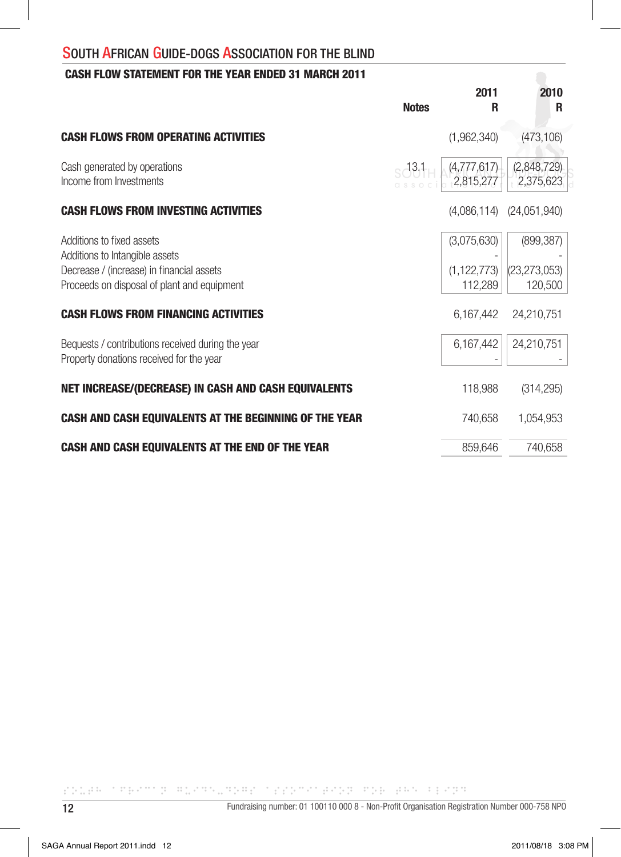## CASH FLOW STATEMENT FOR THE YEAR ENDED 31 MARCH 2011

|                                                                                                                                                         | <b>Notes</b> | 2011<br>R                               | 2010<br>R                               |
|---------------------------------------------------------------------------------------------------------------------------------------------------------|--------------|-----------------------------------------|-----------------------------------------|
| <b>CASH FLOWS FROM OPERATING ACTIVITIES</b>                                                                                                             |              | (1,962,340)                             | (473, 106)                              |
| Cash generated by operations<br>Income from Investments                                                                                                 | $-13.1$      | (4,777,617)<br>2,815,277                | (2,848,729)<br>2,375,623                |
| <b>CASH FLOWS FROM INVESTING ACTIVITIES</b>                                                                                                             |              |                                         | $(4,086,114)$ $(24,051,940)$            |
| Additions to fixed assets<br>Additions to Intangible assets<br>Decrease / (increase) in financial assets<br>Proceeds on disposal of plant and equipment |              | (3,075,630)<br>(1, 122, 773)<br>112,289 | (899, 387)<br>(23, 273, 053)<br>120,500 |
| <b>CASH FLOWS FROM FINANCING ACTIVITIES</b>                                                                                                             |              | 6,167,442                               | 24,210,751                              |
| Bequests / contributions received during the year<br>Property donations received for the year                                                           |              | 6,167,442                               | 24,210,751                              |
| <b>NET INCREASE/(DECREASE) IN CASH AND CASH EQUIVALENTS</b>                                                                                             |              | 118,988                                 | (314, 295)                              |
| CASH AND CASH EQUIVALENTS AT THE BEGINNING OF THE YEAR                                                                                                  |              | 740,658                                 | 1,054,953                               |
| CASH AND CASH EQUIVALENTS AT THE END OF THE YEAR                                                                                                        |              | 859,646                                 | 740,658                                 |

COURT TERMS BURGER CONTROLLED BY THE REPORT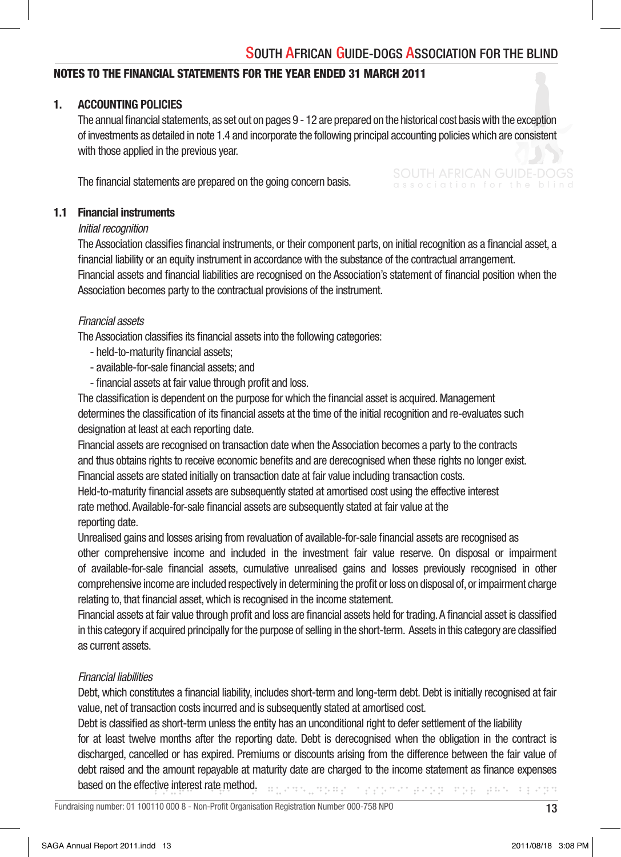## NOTES TO THE FINANCIAL STATEMENTS FOR THE YEAR ENDED 31 MARCH 2011

#### 1. ACCOUNTING POLICIES

The annual financial statements, as set out on pages 9 - 12 are prepared on the historical cost basis with the exception of investments as detailed in note 1.4 and incorporate the following principal accounting policies which are consistent with those applied in the previous year.

The financial statements are prepared on the going concern basis.

#### 1.1 Financial instruments

#### *Initial recognition*

The Association classifies financial instruments, or their component parts, on initial recognition as a financial asset, a financial liability or an equity instrument in accordance with the substance of the contractual arrangement. Financial assets and financial liabilities are recognised on the Association's statement of financial position when the Association becomes party to the contractual provisions of the instrument.

#### *Financial assets*

The Association classifies its financial assets into the following categories:

- held-to-maturity financial assets:
- available-for-sale financial assets; and
- financial assets at fair value through profit and loss.

The classification is dependent on the purpose for which the financial asset is acquired. Management determines the classification of its financial assets at the time of the initial recognition and re-evaluates such designation at least at each reporting date.

 Financial assets are recognised on transaction date when the Association becomes a party to the contracts and thus obtains rights to receive economic benefits and are derecognised when these rights no longer exist. Financial assets are stated initially on transaction date at fair value including transaction costs.

Held-to-maturity financial assets are subsequently stated at amortised cost using the effective interest rate method. Available-for-sale financial assets are subsequently stated at fair value at the reporting date.

Unrealised gains and losses arising from revaluation of available-for-sale financial assets are recognised as

 other comprehensive income and included in the investment fair value reserve. On disposal or impairment of available-for-sale financial assets, cumulative unrealised gains and losses previously recognised in other comprehensive income are included respectively in determining the profit or loss on disposal of, or impairment charge relating to, that financial asset, which is recognised in the income statement.

Financial assets at fair value through profit and loss are financial assets held for trading. A financial asset is classified in this category if acquired principally for the purpose of selling in the short-term. Assets in this category are classified as current assets.

#### *Financial liabilities*

Debt, which constitutes a financial liability, includes short-term and long-term debt. Debt is initially recognised at fair value, net of transaction costs incurred and is subsequently stated at amortised cost.

sprederer opprøderer og de aan oppr Debt is classified as short-term unless the entity has an unconditional right to defer settlement of the liability for at least twelve months after the reporting date. Debt is derecognised when the obligation in the contract is discharged, cancelled or has expired. Premiums or discounts arising from the difference between the fair value of debt raised and the amount repayable at maturity date are charged to the income statement as finance expenses based on the effective interest rate method.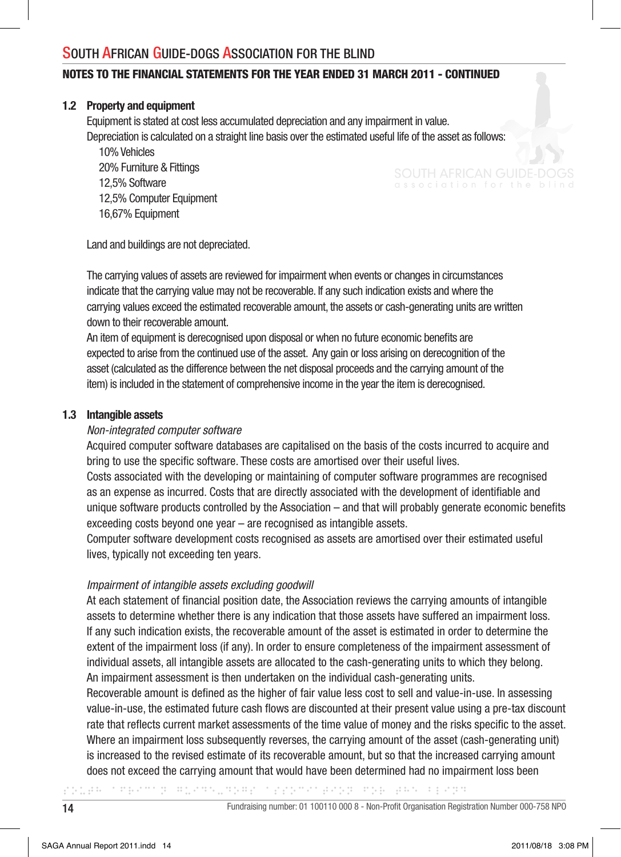#### NOTES TO THE FINANCIAL STATEMENTS FOR THE YEAR ENDED 31 MARCH 2011 - CONTINUED

#### 1.2 Property and equipment

 Equipment is stated at cost less accumulated depreciation and any impairment in value. Depreciation is calculated on a straight line basis over the estimated useful life of the asset as follows:

 10% Vehicles 20% Furniture & Fittings 12,5% Software 12,5% Computer Equipment 16,67% Equipment

Land and buildings are not depreciated.

 The carrying values of assets are reviewed for impairment when events or changes in circumstances indicate that the carrying value may not be recoverable. If any such indication exists and where the carrying values exceed the estimated recoverable amount, the assets or cash-generating units are written down to their recoverable amount.

An item of equipment is derecognised upon disposal or when no future economic benefits are expected to arise from the continued use of the asset. Any gain or loss arising on derecognition of the asset (calculated as the difference between the net disposal proceeds and the carrying amount of the item) is included in the statement of comprehensive income in the year the item is derecognised.

#### 1.3 Intangible assets

#### *Non-integrated computer software*

 Acquired computer software databases are capitalised on the basis of the costs incurred to acquire and bring to use the specific software. These costs are amortised over their useful lives.

 Costs associated with the developing or maintaining of computer software programmes are recognised as an expense as incurred. Costs that are directly associated with the development of identifiable and unique software products controlled by the Association – and that will probably generate economic benefits exceeding costs beyond one year – are recognised as intangible assets.

 Computer software development costs recognised as assets are amortised over their estimated useful lives, typically not exceeding ten years.

#### *Impairment of intangible assets excluding goodwill*

At each statement of financial position date, the Association reviews the carrying amounts of intangible assets to determine whether there is any indication that those assets have suffered an impairment loss. If any such indication exists, the recoverable amount of the asset is estimated in order to determine the extent of the impairment loss (if any). In order to ensure completeness of the impairment assessment of individual assets, all intangible assets are allocated to the cash-generating units to which they belong. An impairment assessment is then undertaken on the individual cash-generating units.

Recoverable amount is defined as the higher of fair value less cost to sell and value-in-use. In assessing value-in-use, the estimated future cash flows are discounted at their present value using a pre-tax discount rate that reflects current market assessments of the time value of money and the risks specific to the asset. Where an impairment loss subsequently reverses, the carrying amount of the asset (cash-generating unit) is increased to the revised estimate of its recoverable amount, but so that the increased carrying amount does not exceed the carrying amount that would have been determined had no impairment loss been

and the children baby mp part is any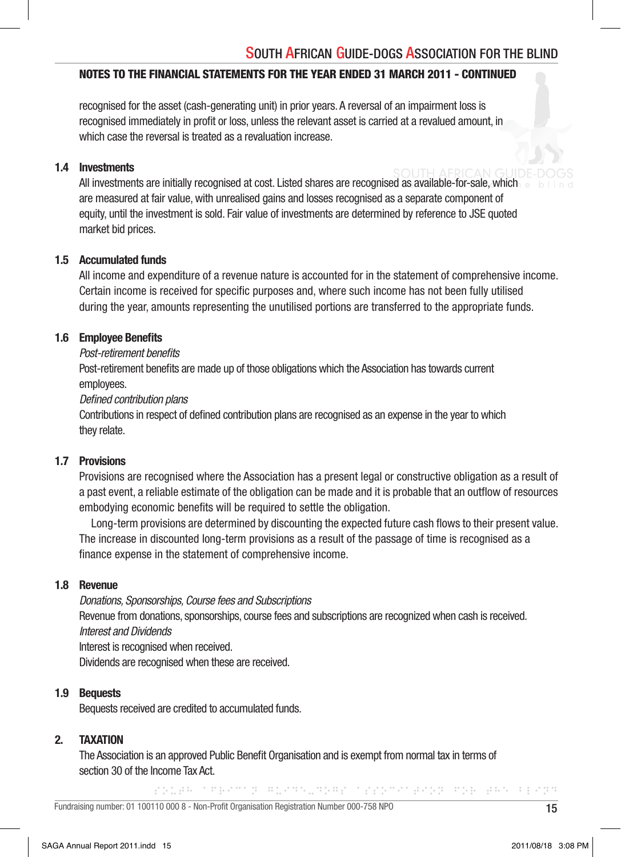#### NOTES TO THE FINANCIAL STATEMENTS FOR THE YEAR ENDED 31 MARCH 2011 - CONTINUED

 recognised for the asset (cash-generating unit) in prior years. A reversal of an impairment loss is recognised immediately in profit or loss, unless the relevant asset is carried at a revalued amount, in which case the reversal is treated as a revaluation increase.

#### 1.4 Investments

 All investments are initially recognised at cost. Listed shares are recognised as available-for-sale, which are measured at fair value, with unrealised gains and losses recognised as a separate component of equity, until the investment is sold. Fair value of investments are determined by reference to JSE quoted market bid prices.

## 1.5 Accumulated funds

 All income and expenditure of a revenue nature is accounted for in the statement of comprehensive income. Certain income is received for specific purposes and, where such income has not been fully utilised during the year, amounts representing the unutilised portions are transferred to the appropriate funds.

#### 1.6 Employee Benefits

#### *Post-retirement benefits*

Post-retirement benefits are made up of those obligations which the Association has towards current employees.

#### *Defined contribution plans*

Contributions in respect of defined contribution plans are recognised as an expense in the year to which they relate.

#### 1.7 Provisions

 Provisions are recognised where the Association has a present legal or constructive obligation as a result of a past event, a reliable estimate of the obligation can be made and it is probable that an outflow of resources embodying economic benefits will be required to settle the obligation.

Long-term provisions are determined by discounting the expected future cash flows to their present value. The increase in discounted long-term provisions as a result of the passage of time is recognised as a finance expense in the statement of comprehensive income.

## 1.8 Revenue

 *Donations, Sponsorships, Course fees and Subscriptions* Revenue from donations, sponsorships, course fees and subscriptions are recognized when cash is received.  *Interest and Dividends*

Interest is recognised when received.

Dividends are recognised when these are received.

#### 1.9 Bequests

Bequests received are credited to accumulated funds.

#### 2. TAXATION

The Association is an approved Public Benefit Organisation and is exempt from normal tax in terms of section 30 of the Income Tax Act.

CODE TREATED ROCKSTON TOO CONTROL ROLL BETTER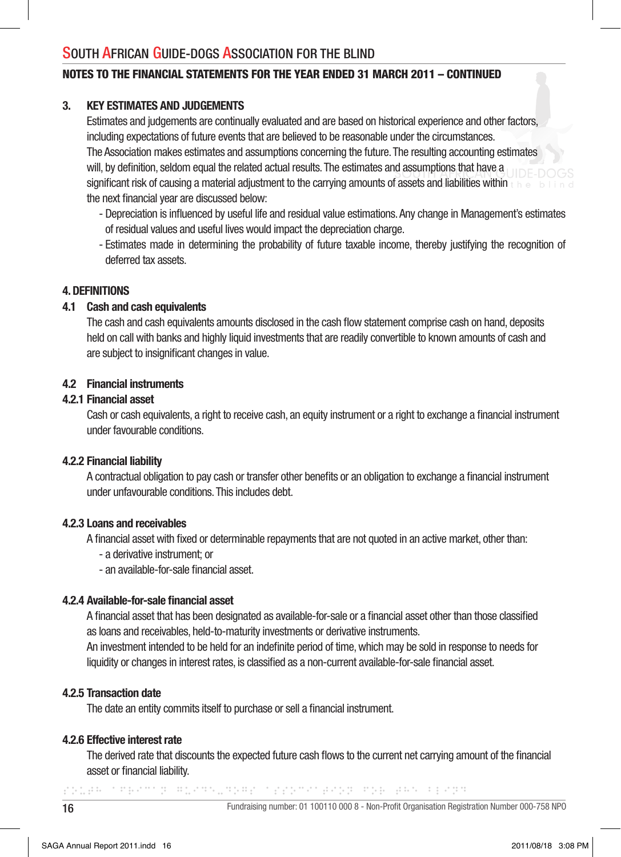## NOTES TO THE FINANCIAL STATEMENTS FOR THE YEAR ENDED 31 MARCH 2011 – CONTINUED

#### 3. KEY ESTIMATES AND JUDGEMENTS

 Estimates and judgements are continually evaluated and are based on historical experience and other factors, including expectations of future events that are believed to be reasonable under the circumstances. The Association makes estimates and assumptions concerning the future. The resulting accounting estimates will, by definition, seldom equal the related actual results. The estimates and assumptions that have a significant risk of causing a material adjustment to the carrying amounts of assets and liabilities within  $\epsilon$  he the next financial year are discussed below:

- Depreciation is influenced by useful life and residual value estimations. Any change in Management's estimates of residual values and useful lives would impact the depreciation charge.
- Estimates made in determining the probability of future taxable income, thereby justifying the recognition of deferred tax assets.

## 4. DEFINITIONS

#### 4.1 Cash and cash equivalents

The cash and cash equivalents amounts disclosed in the cash flow statement comprise cash on hand, deposits held on call with banks and highly liquid investments that are readily convertible to known amounts of cash and are subject to insignificant changes in value.

#### 4.2 Financial instruments

#### 4.2.1 Financial asset

Cash or cash equivalents, a right to receive cash, an equity instrument or a right to exchange a financial instrument under favourable conditions.

#### 4.2.2 Financial liability

A contractual obligation to pay cash or transfer other benefits or an obligation to exchange a financial instrument under unfavourable conditions. This includes debt.

#### 4.2.3 Loans and receivables

A financial asset with fixed or determinable repayments that are not quoted in an active market, other than:

- a derivative instrument; or
- an available-for-sale financial asset.

#### 4.2.4 Available-for-sale financial asset

A financial asset that has been designated as available-for-sale or a financial asset other than those classified as loans and receivables, held-to-maturity investments or derivative instruments.

An investment intended to be held for an indefinite period of time, which may be sold in response to needs for liquidity or changes in interest rates, is classified as a non-current available-for-sale financial asset.

#### 4.2.5 Transaction date

The date an entity commits itself to purchase or sell a financial instrument.

#### 4.2.6 Effective interest rate

The derived rate that discounts the expected future cash flows to the current net carrying amount of the financial asset or financial liability.

color theory harmared too concern the error open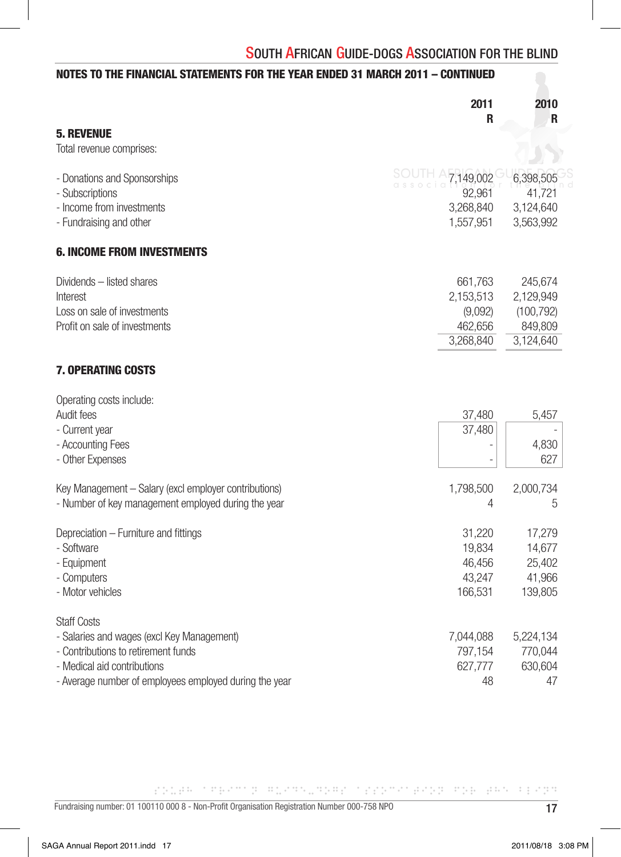## NOTES TO THE FINANCIAL STATEMENTS FOR THE YEAR ENDED 31 MARCH 2011 – CONTINUED

|                                                                                                                                                                                                  | 2011<br>R                                               | 2010<br>R                                                  |
|--------------------------------------------------------------------------------------------------------------------------------------------------------------------------------------------------|---------------------------------------------------------|------------------------------------------------------------|
| <b>5. REVENUE</b><br>Total revenue comprises:                                                                                                                                                    |                                                         |                                                            |
| - Donations and Sponsorships<br>- Subscriptions                                                                                                                                                  | 7,149,002<br>92,961                                     | 6,398,505<br>41,721                                        |
| - Income from investments<br>- Fundraising and other                                                                                                                                             | 3,268,840<br>1,557,951                                  | 3,124,640<br>3,563,992                                     |
| <b>6. INCOME FROM INVESTMENTS</b>                                                                                                                                                                |                                                         |                                                            |
| Dividends - listed shares<br>Interest<br>Loss on sale of investments<br>Profit on sale of investments                                                                                            | 661,763<br>2,153,513<br>(9,092)<br>462,656<br>3,268,840 | 245,674<br>2,129,949<br>(100, 792)<br>849,809<br>3,124,640 |
| <b>7. OPERATING COSTS</b>                                                                                                                                                                        |                                                         |                                                            |
| Operating costs include:<br>Audit fees<br>- Current year<br>- Accounting Fees<br>- Other Expenses                                                                                                | 37,480<br>37,480<br>$\overline{a}$                      | 5,457<br>4,830<br>627                                      |
| Key Management - Salary (excl employer contributions)<br>- Number of key management employed during the year                                                                                     | 1,798,500<br>4                                          | 2,000,734<br>5                                             |
| Depreciation - Furniture and fittings<br>- Software<br>- Equipment<br>- Computers<br>- Motor vehicles                                                                                            | 31,220<br>19,834<br>46,456<br>43,247<br>166,531         | 17,279<br>14,677<br>25,402<br>41,966<br>139,805            |
| <b>Staff Costs</b><br>- Salaries and wages (excl Key Management)<br>- Contributions to retirement funds<br>- Medical aid contributions<br>- Average number of employees employed during the year | 7,044,088<br>797,154<br>627,777<br>48                   | 5,224,134<br>770,044<br>630,604<br>47                      |

CONTRACTOR SOCIETY CONTROL CONTRACTOR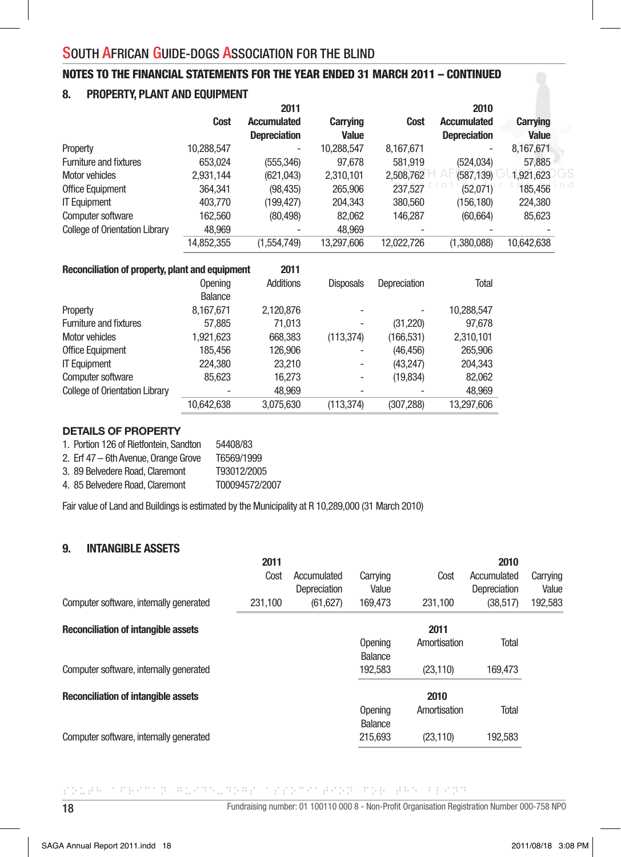## NOTES TO THE FINANCIAL STATEMENTS FOR THE YEAR ENDED 31 MARCH 2011 – CONTINUED

#### 8. PROPERTY, PLANT AND EQUIPMENT

|                                                 |            | 2011                |                  |              | 2010                |                 |  |
|-------------------------------------------------|------------|---------------------|------------------|--------------|---------------------|-----------------|--|
|                                                 | Cost       | <b>Accumulated</b>  | Carrying         | <b>Cost</b>  | <b>Accumulated</b>  | <b>Carrying</b> |  |
|                                                 |            | <b>Depreciation</b> | <b>Value</b>     |              | <b>Depreciation</b> | Value           |  |
| Property                                        | 10,288,547 |                     | 10,288,547       | 8,167,671    |                     | 8,167,671       |  |
| <b>Furniture and fixtures</b>                   | 653,024    | (555, 346)          | 97,678           | 581,919      | (524, 034)          | 57,885          |  |
| Motor vehicles                                  | 2,931,144  | (621, 043)          | 2,310,101        | 2,508,762    | (587, 139)          | 1,921,623       |  |
| Office Equipment                                | 364,341    | (98, 435)           | 265,906          | 237,527      | (52,071)            | 185,456         |  |
| <b>IT Equipment</b>                             | 403,770    | (199, 427)          | 204,343          | 380,560      | (156, 180)          | 224,380         |  |
| Computer software                               | 162,560    | (80, 498)           | 82,062           | 146,287      | (60, 664)           | 85,623          |  |
| <b>College of Orientation Library</b>           | 48,969     |                     | 48,969           |              |                     |                 |  |
|                                                 | 14,852,355 | (1,554,749)         | 13,297,606       | 12,022,726   | (1,380,088)         | 10,642,638      |  |
| Reconciliation of property, plant and equipment |            | 2011                |                  |              |                     |                 |  |
|                                                 | Opening    | Additions           | <b>Disposals</b> | Depreciation | Total               |                 |  |
|                                                 | Balance    |                     |                  |              |                     |                 |  |
| Property                                        | 8,167,671  | 2,120,876           |                  |              | 10,288,547          |                 |  |
| <b>Furniture and fixtures</b>                   | 57,885     | 71,013              |                  | (31, 220)    | 97,678              |                 |  |
| Motor vehicles                                  | 1,921,623  | 668,383             | (113, 374)       | (166, 531)   | 2,310,101           |                 |  |
| Office Equipment                                | 185,456    | 126,906             |                  | (46, 456)    | 265,906             |                 |  |
| <b>IT Equipment</b>                             | 224,380    | 23,210              | ۰                | (43, 247)    | 204,343             |                 |  |
| Computer software                               | 85,623     | 16,273              |                  | (19, 834)    | 82,062              |                 |  |
| <b>College of Orientation Library</b>           |            | 48,969              |                  |              | 48,969              |                 |  |
|                                                 | 10,642,638 | 3,075,630           | (113, 374)       | (307, 288)   | 13,297,606          |                 |  |

#### DETAILS OF PROPERTY

| 1. Portion 126 of Rietfontein, Sandton | 54408/83       |
|----------------------------------------|----------------|
| 2. Erf 47 - 6th Avenue, Orange Grove   | T6569/1999     |
| 3. 89 Belvedere Road, Claremont        | T93012/2005    |
| 4. 85 Belvedere Road, Claremont        | T00094572/2007 |

Fair value of Land and Buildings is estimated by the Municipality at R 10,289,000 (31 March 2010)

#### 9. INTANGIBLE ASSETS

|                                            | 2011    |                             |                           |              | 2010                        |                   |
|--------------------------------------------|---------|-----------------------------|---------------------------|--------------|-----------------------------|-------------------|
|                                            | Cost    | Accumulated<br>Depreciation | Carrying<br>Value         | Cost         | Accumulated<br>Depreciation | Carrying<br>Value |
| Computer software, internally generated    | 231.100 | (61, 627)                   | 169.473                   | 231.100      | (38.517)                    | 192,583           |
| <b>Reconciliation of intangible assets</b> |         |                             |                           | 2011         |                             |                   |
|                                            |         |                             | Opening<br>Balance        | Amortisation | Total                       |                   |
| Computer software, internally generated    |         |                             | 192.583                   | (23, 110)    | 169.473                     |                   |
| <b>Reconciliation of intangible assets</b> |         |                             |                           | 2010         |                             |                   |
|                                            |         |                             | Opening<br><b>Balance</b> | Amortisation | Total                       |                   |
| Computer software, internally generated    |         |                             | 215,693                   | (23, 110)    | 192,583                     |                   |
|                                            |         |                             |                           |              |                             |                   |

CONTRACTOR SOCIETY CONTROL CONTRACTOR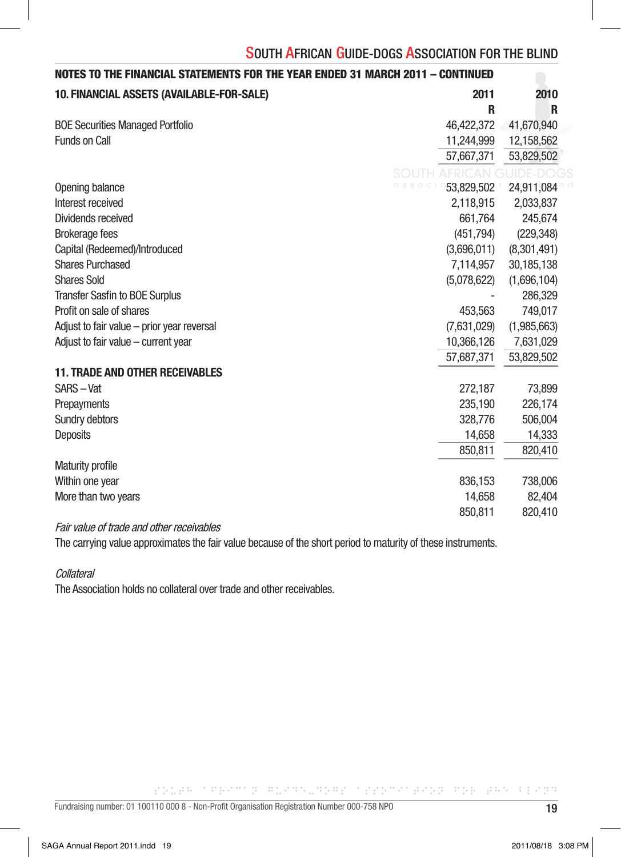|             | NOTES TO THE FINANCIAL STATEMENTS FOR THE YEAR ENDED 31 MARCH 2011 – CONTINUED |                                            |  |  |
|-------------|--------------------------------------------------------------------------------|--------------------------------------------|--|--|
| 2010        | 2011                                                                           | 10. FINANCIAL ASSETS (AVAILABLE-FOR-SALE)  |  |  |
|             | $\mathsf{R}$                                                                   |                                            |  |  |
| 41,670,940  | 46,422,372                                                                     | <b>BOE Securities Managed Portfolio</b>    |  |  |
| 12,158,562  | 11,244,999                                                                     | Funds on Call                              |  |  |
| 53,829,502  | 57,667,371                                                                     |                                            |  |  |
|             | <b>SOUTH AFRICAN GUIDE-DOG</b>                                                 |                                            |  |  |
| 24,911,084  | $\begin{array}{ccc} C & S & S & O \end{array}$<br>53,829,502                   | Opening balance                            |  |  |
| 2,033,837   | 2,118,915                                                                      | Interest received                          |  |  |
| 245,674     | 661,764                                                                        | Dividends received                         |  |  |
| (229, 348)  | (451,794)                                                                      | <b>Brokerage fees</b>                      |  |  |
| (8,301,491) | (3,696,011)                                                                    | Capital (Redeemed)/Introduced              |  |  |
| 30,185,138  | 7,114,957                                                                      | <b>Shares Purchased</b>                    |  |  |
| (1,696,104) | (5,078,622)                                                                    | <b>Shares Sold</b>                         |  |  |
| 286,329     | $\overline{\phantom{a}}$                                                       | Transfer Sasfin to BOE Surplus             |  |  |
| 749,017     | 453,563                                                                        | Profit on sale of shares                   |  |  |
| (1,985,663) | (7,631,029)                                                                    | Adjust to fair value - prior year reversal |  |  |
| 7,631,029   | 10,366,126                                                                     | Adjust to fair value - current year        |  |  |
| 53,829,502  | 57,687,371                                                                     |                                            |  |  |
|             |                                                                                | <b>11. TRADE AND OTHER RECEIVABLES</b>     |  |  |
| 73,899      | 272,187                                                                        | SARS-Vat                                   |  |  |
| 226,174     | 235,190                                                                        | Prepayments                                |  |  |
| 506,004     | 328,776                                                                        | Sundry debtors                             |  |  |
| 14,333      | 14,658                                                                         | Deposits                                   |  |  |
| 820,410     | 850,811                                                                        |                                            |  |  |
|             |                                                                                | <b>Maturity profile</b>                    |  |  |
| 738,006     | 836,153                                                                        | Within one year                            |  |  |
| 82,404      | 14,658                                                                         | More than two years                        |  |  |
| 820,410     | 850,811                                                                        |                                            |  |  |
|             |                                                                                |                                            |  |  |

#### Fair value of trade and other receivables

The carrying value approximates the fair value because of the short period to maturity of these instruments.

**Collateral** 

The Association holds no collateral over trade and other receivables.

CO. B. TERMIE BONNER COOPTING BONNER CONT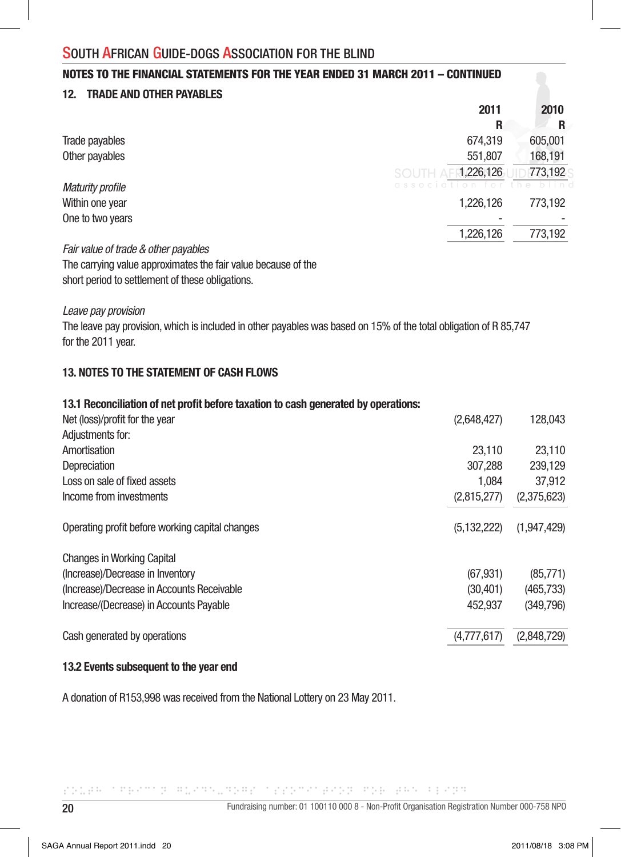#### NOTES TO THE FINANCIAL STATEMENTS FOR THE YEAR ENDED 31 MARCH 2011 – CONTINUED

#### 12. TRADE AND OTHER PAYABLES

|                                      | 2011               | 2010    |
|--------------------------------------|--------------------|---------|
|                                      | R                  | R       |
| Trade payables                       | 674,319            | 605,001 |
| Other payables                       | 551,807            | 168,191 |
|                                      | 1,226,126<br>SOUTH | 773,192 |
| <b>Maturity profile</b>              |                    |         |
| Within one year                      | 1,226,126          | 773,192 |
| One to two years                     |                    |         |
|                                      | 1,226,126          | 773,192 |
| Fair value of trade & other payables |                    |         |

The carrying value approximates the fair value because of the short period to settlement of these obligations.

*Leave pay provision*

The leave pay provision, which is included in other payables was based on 15% of the total obligation of R 85,747 for the 2011 year.

#### 13. NOTES TO THE STATEMENT OF CASH FLOWS

| 13.1 Reconciliation of net profit before taxation to cash generated by operations: |               |             |
|------------------------------------------------------------------------------------|---------------|-------------|
| Net (loss)/profit for the year                                                     | (2,648,427)   | 128,043     |
| Adjustments for:                                                                   |               |             |
| Amortisation                                                                       | 23.110        | 23,110      |
| Depreciation                                                                       | 307.288       | 239,129     |
| Loss on sale of fixed assets                                                       | 1.084         | 37,912      |
| Income from investments                                                            | (2,815,277)   | (2,375,623) |
| Operating profit before working capital changes                                    | (5, 132, 222) | (1,947,429) |
| <b>Changes in Working Capital</b>                                                  |               |             |
| (Increase)/Decrease in Inventory                                                   | (67, 931)     | (85, 771)   |
| (Increase)/Decrease in Accounts Receivable                                         | (30, 401)     | (465, 733)  |
| Increase/(Decrease) in Accounts Payable                                            | 452.937       | (349,796)   |
| Cash generated by operations                                                       | (4.777.617)   | (2,848,729) |

#### 13.2 Events subsequent to the year end

A donation of R153,998 was received from the National Lottery on 23 May 2011.

POLEN CREATOR RUSS DRESS CREATOR POR PORT AND AREA PERSON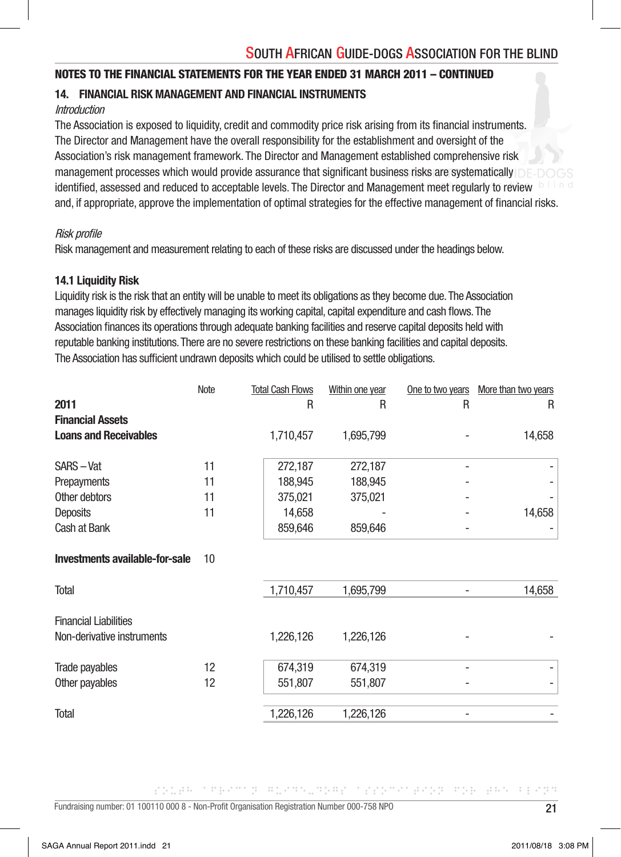#### NOTES TO THE FINANCIAL STATEMENTS FOR THE YEAR ENDED 31 MARCH 2011 – CONTINUED

#### 14. FINANCIAL RISK MANAGEMENT AND FINANCIAL INSTRUMENTS

#### **Introduction**

The Association is exposed to liquidity, credit and commodity price risk arising from its financial instruments. The Director and Management have the overall responsibility for the establishment and oversight of the Association's risk management framework. The Director and Management established comprehensive risk management processes which would provide assurance that significant business risks are systematically identified, assessed and reduced to acceptable levels. The Director and Management meet regularly to review and, if appropriate, approve the implementation of optimal strategies for the effective management of financial risks.

#### Risk profile

Risk management and measurement relating to each of these risks are discussed under the headings below.

#### 14.1 Liquidity Risk

Liquidity risk is the risk that an entity will be unable to meet its obligations as they become due. The Association manages liquidity risk by effectively managing its working capital, capital expenditure and cash flows. The Association finances its operations through adequate banking facilities and reserve capital deposits held with reputable banking institutions. There are no severe restrictions on these banking facilities and capital deposits. The Association has sufficient undrawn deposits which could be utilised to settle obligations.

|                                | Note | <b>Total Cash Flows</b> | Within one year | One to two years | More than two years |
|--------------------------------|------|-------------------------|-----------------|------------------|---------------------|
| 2011                           |      | R                       | R               | R                | R                   |
| <b>Financial Assets</b>        |      |                         |                 |                  |                     |
| <b>Loans and Receivables</b>   |      | 1,710,457               | 1,695,799       |                  | 14,658              |
| SARS-Vat                       | 11   | 272,187                 | 272,187         |                  |                     |
| Prepayments                    | 11   | 188,945                 | 188,945         |                  |                     |
| Other debtors                  | 11   | 375,021                 | 375,021         |                  |                     |
| Deposits                       | 11   | 14,658                  |                 |                  | 14,658              |
| Cash at Bank                   |      | 859,646                 | 859,646         |                  |                     |
| Investments available-for-sale | 10   |                         |                 |                  |                     |
| <b>Total</b>                   |      | 1,710,457               | 1,695,799       |                  | 14,658              |
| <b>Financial Liabilities</b>   |      |                         |                 |                  |                     |
| Non-derivative instruments     |      | 1,226,126               | 1,226,126       |                  |                     |
| Trade payables                 | 12   | 674,319                 | 674,319         |                  |                     |
| Other payables                 | 12   | 551,807                 | 551,807         |                  |                     |
| <b>Total</b>                   |      | 1,226,126               | 1,226,126       |                  |                     |
|                                |      |                         |                 |                  |                     |

공장장금의 이 지수는 어제 한 사회장에 대해 있지만 한 사람들은 어제에 공연장을 사회했다. 공원에서 이 중 연결적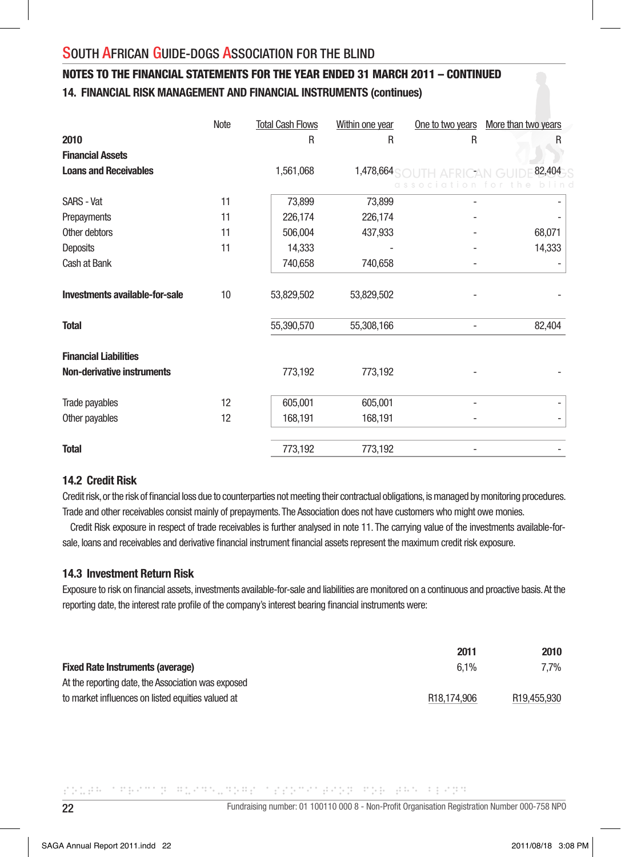## 14. FINANCIAL RISK MANAGEMENT AND FINANCIAL INSTRUMENTS (continues) NOTES TO THE FINANCIAL STATEMENTS FOR THE YEAR ENDED 31 MARCH 2011 – CONTINUED

|                                | Note | <b>Total Cash Flows</b> | Within one year | One to two years | More than two years |
|--------------------------------|------|-------------------------|-----------------|------------------|---------------------|
| 2010                           |      | R                       | $\mathsf{R}$    | R                | R                   |
| <b>Financial Assets</b>        |      |                         |                 |                  |                     |
| <b>Loans and Receivables</b>   |      | 1,561,068               | 1,478,664       |                  | 82,404              |
|                                |      |                         |                 |                  |                     |
| <b>SARS - Vat</b>              | 11   | 73,899                  | 73,899          |                  |                     |
| Prepayments                    | 11   | 226,174                 | 226,174         |                  |                     |
| Other debtors                  | 11   | 506,004                 | 437,933         |                  | 68,071              |
| Deposits                       | 11   | 14,333                  |                 |                  | 14,333              |
| Cash at Bank                   |      | 740,658                 | 740,658         |                  |                     |
|                                |      |                         |                 |                  |                     |
| Investments available-for-sale | 10   | 53,829,502              | 53,829,502      |                  |                     |
| Total                          |      | 55,390,570              | 55,308,166      |                  | 82,404              |
| <b>Financial Liabilities</b>   |      |                         |                 |                  |                     |
| Non-derivative instruments     |      | 773,192                 | 773,192         |                  |                     |
| Trade payables                 | 12   | 605,001                 | 605,001         |                  |                     |
| Other payables                 | 12   | 168,191                 | 168,191         |                  | -                   |
| <b>Total</b>                   |      | 773,192                 | 773,192         |                  |                     |

#### 14.2 Credit Risk

Credit risk, or the risk of financial loss due to counterparties not meeting their contractual obligations, is managed by monitoring procedures. Trade and other receivables consist mainly of prepayments. The Association does not have customers who might owe monies.

 Credit Risk exposure in respect of trade receivables is further analysed in note 11. The carrying value of the investments available-forsale, loans and receivables and derivative financial instrument financial assets represent the maximum credit risk exposure.

#### 14.3 Investment Return Risk

Exposure to risk on financial assets, investments available-for-sale and liabilities are monitored on a continuous and proactive basis. At the reporting date, the interest rate profile of the company's interest bearing financial instruments were:

|                                                    | 2011                     | 2010                     |
|----------------------------------------------------|--------------------------|--------------------------|
| <b>Fixed Rate Instruments (average)</b>            | $6.1\%$                  | 7.7%                     |
| At the reporting date, the Association was exposed |                          |                          |
| to market influences on listed equities valued at  | R <sub>18</sub> .174.906 | R <sub>19</sub> ,455,930 |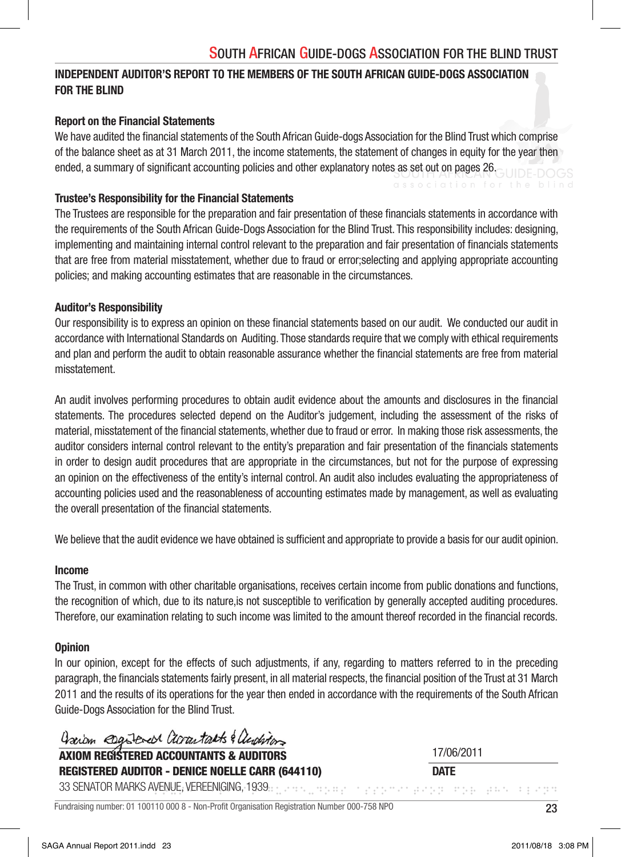## INDEPENDENT AUDITOR'S REPORT TO THE MEMBERS OF THE SOUTH AFRICAN GUIDE-DOGS ASSOCIATION FOR THE BLIND

## Report on the Financial Statements

We have audited the financial statements of the South African Guide-dogs Association for the Blind Trust which comprise of the balance sheet as at 31 March 2011, the income statements, the statement of changes in equity for the year then ended, a summary of significant accounting policies and other explanatory notes as set out on pages 26.

#### Trustee's Responsibility for the Financial Statements

The Trustees are responsible for the preparation and fair presentation of these financials statements in accordance with the requirements of the South African Guide-Dogs Association for the Blind Trust. This responsibility includes: designing, implementing and maintaining internal control relevant to the preparation and fair presentation of financials statements that are free from material misstatement, whether due to fraud or error;selecting and applying appropriate accounting policies; and making accounting estimates that are reasonable in the circumstances.

#### Auditor's Responsibility

Our responsibility is to express an opinion on these financial statements based on our audit. We conducted our audit in accordance with International Standards on Auditing. Those standards require that we comply with ethical requirements and plan and perform the audit to obtain reasonable assurance whether the financial statements are free from material misstatement.

An audit involves performing procedures to obtain audit evidence about the amounts and disclosures in the financial statements. The procedures selected depend on the Auditor's judgement, including the assessment of the risks of material, misstatement of the financial statements, whether due to fraud or error. In making those risk assessments, the auditor considers internal control relevant to the entity's preparation and fair presentation of the financials statements in order to design audit procedures that are appropriate in the circumstances, but not for the purpose of expressing an opinion on the effectiveness of the entity's internal control. An audit also includes evaluating the appropriateness of accounting policies used and the reasonableness of accounting estimates made by management, as well as evaluating the overall presentation of the financial statements.

We believe that the audit evidence we have obtained is sufficient and appropriate to provide a basis for our audit opinion.

#### Income

The Trust, in common with other charitable organisations, receives certain income from public donations and functions, the recognition of which, due to its nature, is not susceptible to verification by generally accepted auditing procedures. Therefore, our examination relating to such income was limited to the amount thereof recorded in the financial records.

#### **Opinion**

In our opinion, except for the effects of such adjustments, if any, regarding to matters referred to in the preceding paragraph, the financials statements fairly present, in all material respects, the financial position of the Trust at 31 March 2011 and the results of its operations for the year then ended in accordance with the requirements of the South African Guide-Dogs Association for the Blind Trust.

Dariam esgistered accountants & auditors

AXIOM REGISTERED ACCOUNTANTS & AUDITORS REGISTERED AUDITOR - DENICE NOELLE CARR (644110) 17/06/2011 **DATF** 

<u>Participal intervention and the state</u> 33 SENATOR MARKS AVENUE, VEREENIGING, 1939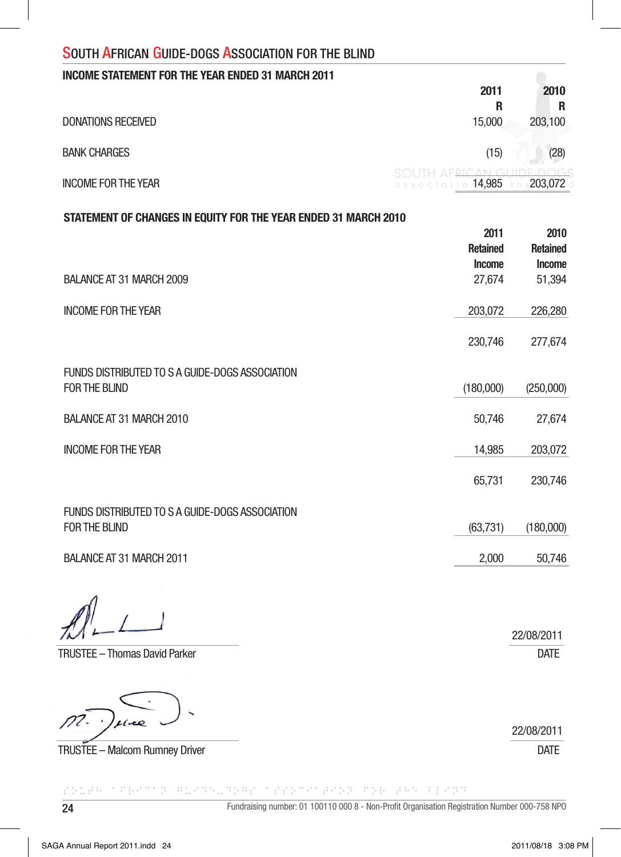| <b>INCOME STATEMENT FOR THE YEAR ENDED 31 MARCH 2011</b> |                                                           |          |
|----------------------------------------------------------|-----------------------------------------------------------|----------|
|                                                          | 2011                                                      | 2010     |
|                                                          | R                                                         |          |
| <b>DONATIONS RECEIVED</b>                                | 15,000                                                    | 203.100  |
| <b>BANK CHARGES</b>                                      | (15)                                                      | (28)     |
| <b>INCOME FOR THE YEAR</b>                               | SOUTH AFRICAN GUIDE-DOGS<br>association <sup>14,985</sup> | ∘203.072 |

#### STATEMENT OF CHANGES IN EQUITY FOR THE YEAR ENDED 31 MARCH 2010

|                                                 | 2011            | 2010            |
|-------------------------------------------------|-----------------|-----------------|
|                                                 | <b>Retained</b> | <b>Retained</b> |
|                                                 | <b>Income</b>   | <b>Income</b>   |
| BALANCE AT 31 MARCH 2009                        | 27,674          | 51,394          |
| <b>INCOME FOR THE YEAR</b>                      | 203,072         | 226,280         |
|                                                 | 230,746         | 277,674         |
| FUNDS DISTRIBUTED TO S A GUIDE-DOGS ASSOCIATION |                 |                 |
| FOR THE BLIND                                   | (180,000)       | (250,000)       |
| BALANCE AT 31 MARCH 2010                        | 50,746          | 27,674          |
| <b>INCOME FOR THE YEAR</b>                      | 14,985          | 203,072         |
|                                                 | 65,731          | 230,746         |
| FUNDS DISTRIBUTED TO S A GUIDE-DOGS ASSOCIATION |                 |                 |
| FOR THE BLIND                                   | (63, 731)       | (180,000)       |
| BALANCE AT 31 MARCH 2011                        | 2,000           | 50,746          |

TRUSTEE – Thomas David Parker DATE

 $\mathcal{D}2$ .

TRUSTEE – Malcom Rumney Driver DATE

24 Fundraising number: 01 100110 000 8 - Non-Profi t Organisation Registration Number 000-758 NPO CONTRACTOR SOCIETY CONTROL CONTRACTOR

22/08/2011

22/08/2011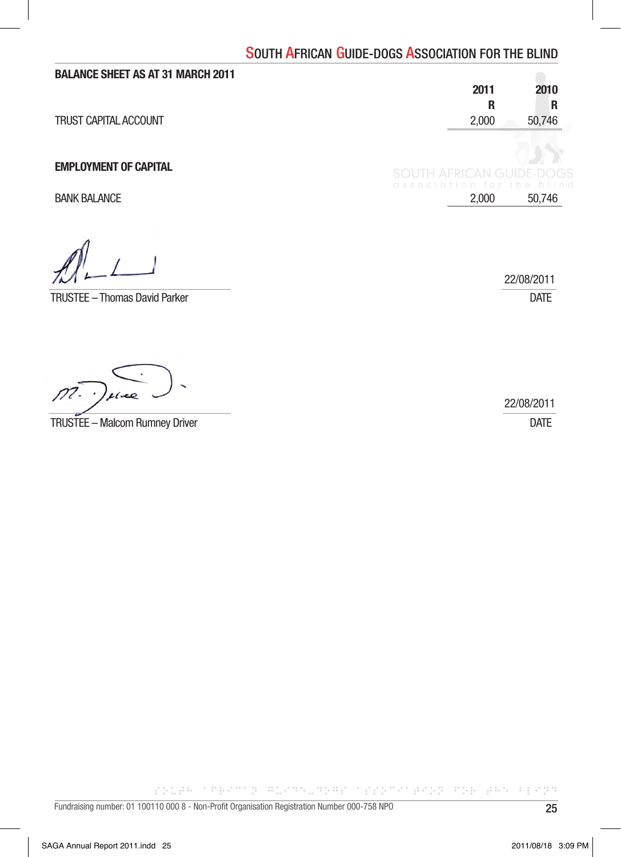| 2011                            | 2010                      |
|---------------------------------|---------------------------|
| R                               | R                         |
| 2,000                           | 50,746                    |
| <b>SOUTH AFRICAN GUIDE-DOGS</b> |                           |
| 2,000                           | 50,746                    |
|                                 |                           |
|                                 | association for the blind |

TRUSTEE – Thomas David Parker DATE

22/08/2011

| $m \cdot \mu$                  | 22/08/2011 |
|--------------------------------|------------|
| TRUSTEE – Malcom Rumney Driver |            |

CO. B. TERMIE BONNER COOPTING BONNER CONT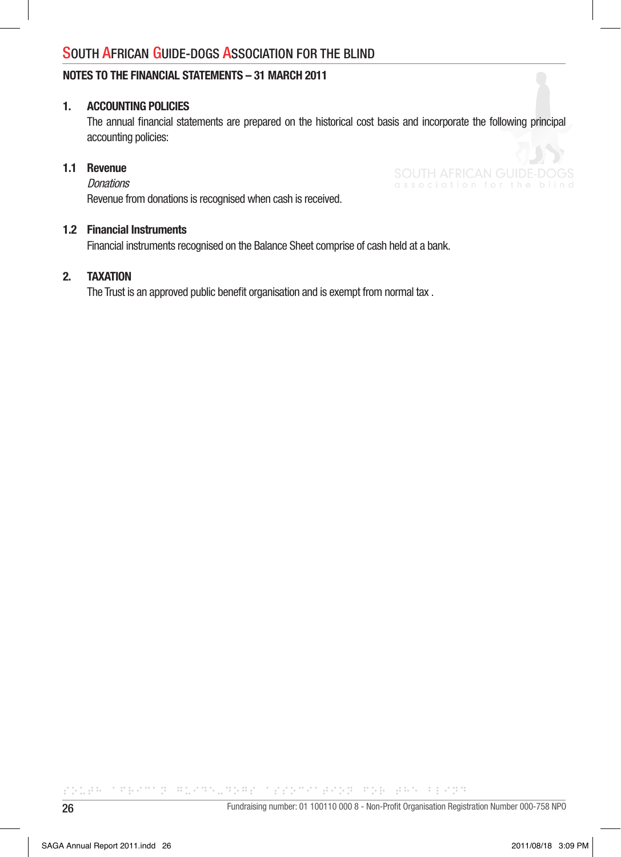#### NOTES TO THE FINANCIAL STATEMENTS – 31 MARCH 2011

#### 1. ACCOUNTING POLICIES

The annual financial statements are prepared on the historical cost basis and incorporate the following principal accounting policies:

#### 1.1 Revenue

**Donations** 

Revenue from donations is recognised when cash is received.

#### 1.2 Financial Instruments

Financial instruments recognised on the Balance Sheet comprise of cash held at a bank.

#### 2. TAXATION

The Trust is an approved public benefit organisation and is exempt from normal tax.

POLEN CREATOR RUSS DRESS CREATOR POR PORT AND AREA PERSON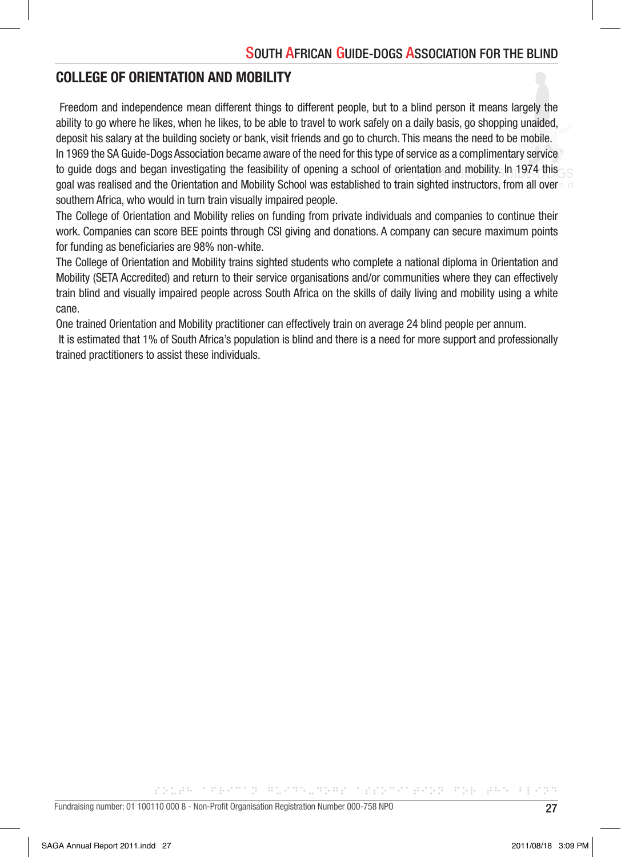# COLLEGE OF ORIENTATION AND MOBILITY

 Freedom and independence mean different things to different people, but to a blind person it means largely the ability to go where he likes, when he likes, to be able to travel to work safely on a daily basis, go shopping unaided, deposit his salary at the building society or bank, visit friends and go to church. This means the need to be mobile. In 1969 the SA Guide-Dogs Association became aware of the need for this type of service as a complimentary service to guide dogs and began investigating the feasibility of opening a school of orientation and mobility. In 1974 this goal was realised and the Orientation and Mobility School was established to train sighted instructors, from all over southern Africa, who would in turn train visually impaired people.

The College of Orientation and Mobility relies on funding from private individuals and companies to continue their work. Companies can score BEE points through CSI giving and donations. A company can secure maximum points for funding as beneficiaries are 98% non-white.

The College of Orientation and Mobility trains sighted students who complete a national diploma in Orientation and Mobility (SETA Accredited) and return to their service organisations and/or communities where they can effectively train blind and visually impaired people across South Africa on the skills of daily living and mobility using a white cane.

One trained Orientation and Mobility practitioner can effectively train on average 24 blind people per annum.

 It is estimated that 1% of South Africa's population is blind and there is a need for more support and professionally trained practitioners to assist these individuals.

공간 승규는 그 지금에서 전 나무들에게도 승규는 무슨 그 공장은 지역의 공연은 돈 나무를 나온다고 하는 것은지